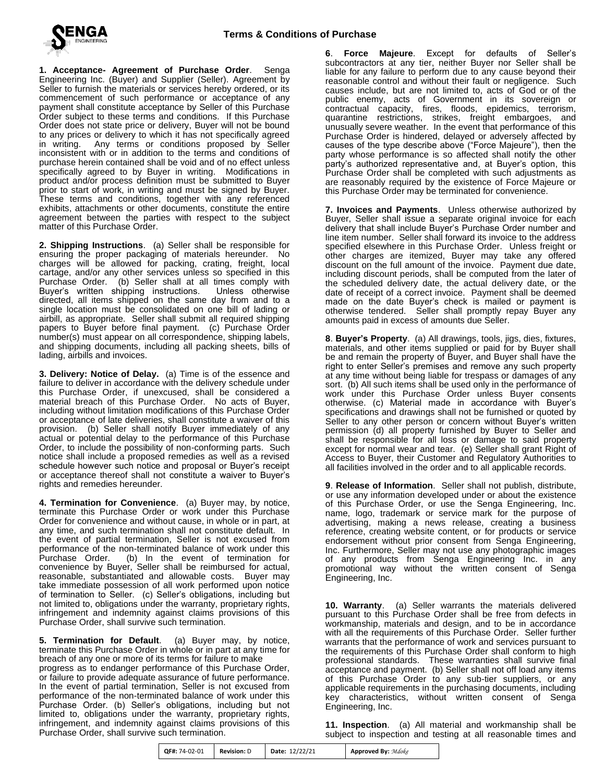

**1. Acceptance- Agreement of Purchase Order**. Senga Engineering Inc. (Buyer) and Supplier (Seller). Agreement by Seller to furnish the materials or services hereby ordered, or its commencement of such performance or acceptance of any payment shall constitute acceptance by Seller of this Purchase Order subject to these terms and conditions. If this Purchase Order does not state price or delivery, Buyer will not be bound to any prices or delivery to which it has not specifically agreed<br>in writing. Any terms or conditions proposed by Seller Any terms or conditions proposed by Seller inconsistent with or in addition to the terms and conditions of purchase herein contained shall be void and of no effect unless specifically agreed to by Buyer in writing. Modifications in product and/or process definition must be submitted to Buyer prior to start of work, in writing and must be signed by Buyer. These terms and conditions, together with any referenced exhibits, attachments or other documents, constitute the entire agreement between the parties with respect to the subject matter of this Purchase Order.

**2. Shipping Instructions**. (a) Seller shall be responsible for ensuring the proper packaging of materials hereunder. No charges will be allowed for packing, crating, freight, local cartage, and/or any other services unless so specified in this Purchase Order. (b) Seller shall at all times comply with Buyer's written shipping instructions. Unless otherwise Buyer's written shipping instructions. directed, all items shipped on the same day from and to a single location must be consolidated on one bill of lading or airbill, as appropriate. Seller shall submit all required shipping papers to Buyer before final payment. (c) Purchase Order number(s) must appear on all correspondence, shipping labels, and shipping documents, including all packing sheets, bills of lading, airbills and invoices.

**3. Delivery: Notice of Delay.** (a) Time is of the essence and failure to deliver in accordance with the delivery schedule under this Purchase Order, if unexcused, shall be considered a material breach of this Purchase Order. No acts of Buyer, including without limitation modifications of this Purchase Order or acceptance of late deliveries, shall constitute a waiver of this provision. (b) Seller shall notify Buyer immediately of any actual or potential delay to the performance of this Purchase Order, to include the possibility of non-conforming parts. Such notice shall include a proposed remedies as well as a revised schedule however such notice and proposal or Buyer's receipt or acceptance thereof shall not constitute a waiver to Buyer's rights and remedies hereunder.

**4. Termination for Convenience**. (a) Buyer may, by notice, terminate this Purchase Order or work under this Purchase Order for convenience and without cause, in whole or in part, at any time, and such termination shall not constitute default. In the event of partial termination, Seller is not excused from performance of the non-terminated balance of work under this Purchase Order. (b) In the event of termination for convenience by Buyer, Seller shall be reimbursed for actual, reasonable, substantiated and allowable costs. Buyer may take immediate possession of all work performed upon notice of termination to Seller. (c) Seller's obligations, including but not limited to, obligations under the warranty, proprietary rights, infringement and indemnity against claims provisions of this Purchase Order, shall survive such termination.

**5. Termination for Default**. (a) Buyer may, by notice, terminate this Purchase Order in whole or in part at any time for breach of any one or more of its terms for failure to make

progress as to endanger performance of this Purchase Order, or failure to provide adequate assurance of future performance. In the event of partial termination, Seller is not excused from performance of the non-terminated balance of work under this Purchase Order. (b) Seller's obligations, including but not limited to, obligations under the warranty, proprietary rights, infringement, and indemnity against claims provisions of this Purchase Order, shall survive such termination.

**6**. **Force Majeure**. Except for defaults of Seller's subcontractors at any tier, neither Buyer nor Seller shall be liable for any failure to perform due to any cause beyond their reasonable control and without their fault or negligence. Such causes include, but are not limited to, acts of God or of the public enemy, acts of Government in its sovereign or contractual capacity, fires, floods, epidemics, terrorism, quarantine restrictions, strikes, freight embargoes, and unusually severe weather. In the event that performance of this Purchase Order is hindered, delayed or adversely affected by causes of the type describe above ("Force Majeure"), then the party whose performance is so affected shall notify the other party's authorized representative and, at Buyer's option, this Purchase Order shall be completed with such adjustments as are reasonably required by the existence of Force Majeure or this Purchase Order may be terminated for convenience.

**7. Invoices and Payments**. Unless otherwise authorized by Buyer, Seller shall issue a separate original invoice for each delivery that shall include Buyer's Purchase Order number and line item number. Seller shall forward its invoice to the address specified elsewhere in this Purchase Order. Unless freight or other charges are itemized, Buyer may take any offered discount on the full amount of the invoice. Payment due date, including discount periods, shall be computed from the later of the scheduled delivery date, the actual delivery date, or the date of receipt of a correct invoice. Payment shall be deemed made on the date Buyer's check is mailed or payment is otherwise tendered. Seller shall promptly repay Buyer any amounts paid in excess of amounts due Seller.

**8**. **Buyer's Property**. (a) All drawings, tools, jigs, dies, fixtures, materials, and other items supplied or paid for by Buyer shall be and remain the property of Buyer, and Buyer shall have the right to enter Seller's premises and remove any such property at any time without being liable for trespass or damages of any sort. (b) All such items shall be used only in the performance of work under this Purchase Order unless Buyer consents otherwise. (c) Material made in accordance with Buyer's specifications and drawings shall not be furnished or quoted by Seller to any other person or concern without Buyer's written permission (d) all property furnished by Buyer to Seller and shall be responsible for all loss or damage to said property except for normal wear and tear. (e) Seller shall grant Right of Access to Buyer, their Customer and Regulatory Authorities to all facilities involved in the order and to all applicable records.

**9**. **Release of Information**. Seller shall not publish, distribute, or use any information developed under or about the existence of this Purchase Order, or use the Senga Engineering, Inc. name, logo, trademark or service mark for the purpose of advertising, making a news release, creating a business reference, creating website content, or for products or service endorsement without prior consent from Senga Engineering, Inc. Furthermore, Seller may not use any photographic images of any products from Senga Engineering Inc. in any promotional way without the written consent of Senga Engineering, Inc.

**10. Warranty**. (a) Seller warrants the materials delivered pursuant to this Purchase Order shall be free from defects in workmanship, materials and design, and to be in accordance with all the requirements of this Purchase Order. Seller further warrants that the performance of work and services pursuant to the requirements of this Purchase Order shall conform to high professional standards. These warranties shall survive final acceptance and payment. (b) Seller shall not off load any items of this Purchase Order to any sub-tier suppliers, or any applicable requirements in the purchasing documents, including key characteristics, without written consent of Senga Engineering, Inc.

**11. Inspection**. (a) All material and workmanship shall be subject to inspection and testing at all reasonable times and

| QF#: 74-02-01 | <b>Revision: D</b> | Date: 12/22/21 | <b>Approved By: Mdoke</b> |
|---------------|--------------------|----------------|---------------------------|
|---------------|--------------------|----------------|---------------------------|